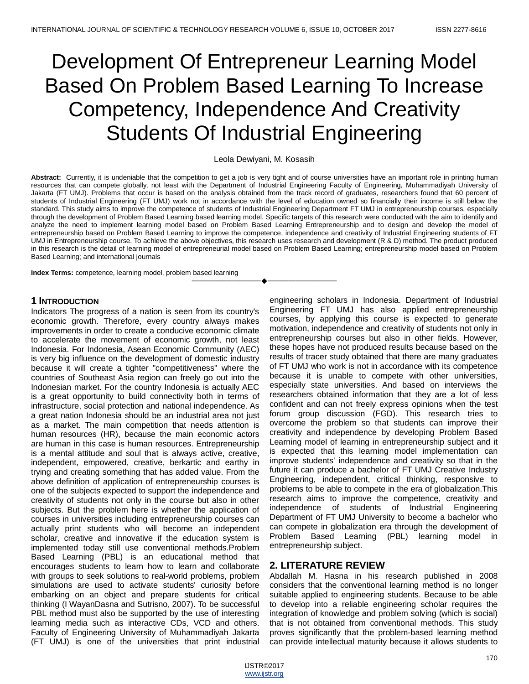# Development Of Entrepreneur Learning Model Based On Problem Based Learning To Increase Competency, Independence And Creativity Students Of Industrial Engineering

Leola Dewiyani, M. Kosasih

**Abstract:** Currently, it is undeniable that the competition to get a job is very tight and of course universities have an important role in printing human resources that can compete globally, not least with the Department of Industrial Engineering Faculty of Engineering, Muhammadiyah University of Jakarta (FT UMJ). Problems that occur is based on the analysis obtained from the track record of graduates, researchers found that 60 percent of students of Industrial Engineering (FT UMJ) work not in accordance with the level of education owned so financially their income is still below the standard. This study aims to improve the competence of students of Industrial Engineering Department FT UMJ in entrepreneurship courses, especially through the development of Problem Based Learning based learning model. Specific targets of this research were conducted with the aim to identify and analyze the need to implement learning model based on Problem Based Learning Entrepreneurship and to design and develop the model of entrepreneurship based on Problem Based Learning to improve the competence, independence and creativity of Industrial Engineering students of FT UMJ in Entrepreneurship course. To achieve the above objectives, this research uses research and development (R & D) method. The product produced in this research is the detail of learning model of entrepreneurial model based on Problem Based Learning; entrepreneurship model based on Problem Based Learning; and international journals

————————————————————

**Index Terms:** competence, learning model, problem based learning

# **1 INTRODUCTION**

Indicators The progress of a nation is seen from its country's economic growth. Therefore, every country always makes improvements in order to create a conducive economic climate to accelerate the movement of economic growth, not least Indonesia. For Indonesia, Asean Economic Community (AEC) is very big influence on the development of domestic industry because it will create a tighter "competitiveness" where the countries of Southeast Asia region can freely go out into the Indonesian market. For the country Indonesia is actually AEC is a great opportunity to build connectivity both in terms of infrastructure, social protection and national independence. As a great nation Indonesia should be an industrial area not just as a market. The main competition that needs attention is human resources (HR), because the main economic actors are human in this case is human resources. Entrepreneurship is a mental attitude and soul that is always active, creative, independent, empowered, creative, berkartic and earthy in trying and creating something that has added value. From the above definition of application of entrepreneurship courses is one of the subjects expected to support the independence and creativity of students not only in the course but also in other subjects. But the problem here is whether the application of courses in universities including entrepreneurship courses can actually print students who will become an independent scholar, creative and innovative if the education system is implemented today still use conventional methods.Problem Based Learning (PBL) is an educational method that encourages students to learn how to learn and collaborate with groups to seek solutions to real-world problems, problem simulations are used to activate students' curiosity before embarking on an object and prepare students for critical thinking (I WayanDasna and Sutrisno, 2007). To be successful PBL method must also be supported by the use of interesting learning media such as interactive CDs, VCD and others. Faculty of Engineering University of Muhammadiyah Jakarta (FT UMJ) is one of the universities that print industrial

engineering scholars in Indonesia. Department of Industrial Engineering FT UMJ has also applied entrepreneurship courses, by applying this course is expected to generate motivation, independence and creativity of students not only in entrepreneurship courses but also in other fields. However, these hopes have not produced results because based on the results of tracer study obtained that there are many graduates of FT UMJ who work is not in accordance with its competence because it is unable to compete with other universities, especially state universities. And based on interviews the researchers obtained information that they are a lot of less confident and can not freely express opinions when the test forum group discussion (FGD). This research tries to overcome the problem so that students can improve their creativity and independence by developing Problem Based Learning model of learning in entrepreneurship subject and it is expected that this learning model implementation can improve students' independence and creativity so that in the future it can produce a bachelor of FT UMJ Creative Industry Engineering, independent, critical thinking, responsive to problems to be able to compete in the era of globalization.This research aims to improve the competence, creativity and independence of students of Industrial Engineering Department of FT UMJ University to become a bachelor who can compete in globalization era through the development of Problem Based Learning (PBL) learning model in entrepreneurship subject.

# **2. LITERATURE REVIEW**

Abdallah M. Hasna in his research published in 2008 considers that the conventional learning method is no longer suitable applied to engineering students. Because to be able to develop into a reliable engineering scholar requires the integration of knowledge and problem solving (which is social) that is not obtained from conventional methods. This study proves significantly that the problem-based learning method can provide intellectual maturity because it allows students to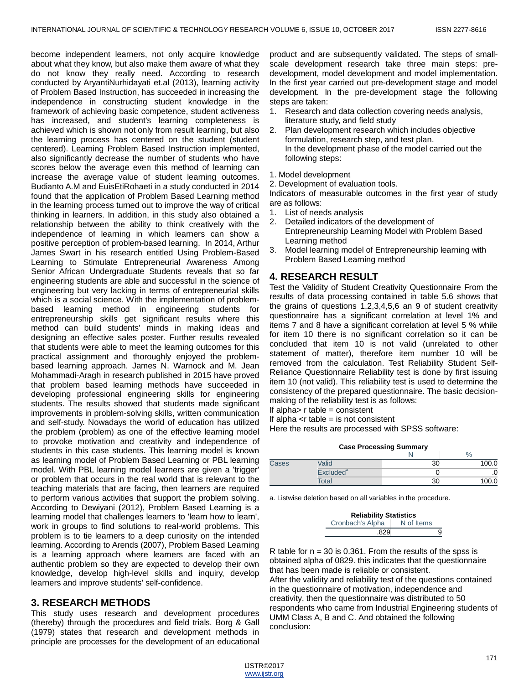become independent learners, not only acquire knowledge about what they know, but also make them aware of what they do not know they really need. According to research conducted by AryantiNurhidayati et.al (2013), learning activity of Problem Based Instruction, has succeeded in increasing the independence in constructing student knowledge in the framework of achieving basic competence, student activeness has increased, and student's learning completeness is achieved which is shown not only from result learning, but also the learning process has centered on the student (student centered). Learning Problem Based Instruction implemented, also significantly decrease the number of students who have scores below the average even this method of learning can increase the average value of student learning outcomes. Budianto A.M and EuisEtiRohaeti in a study conducted in 2014 found that the application of Problem Based Learning method in the learning process turned out to improve the way of critical thinking in learners. In addition, in this study also obtained a relationship between the ability to think creatively with the independence of learning in which learners can show a positive perception of problem-based learning. In 2014, Arthur James Swart in his research entitled Using Problem-Based Learning to Stimulate Entrepreneurial Awareness Among Senior African Undergraduate Students reveals that so far engineering students are able and successful in the science of engineering but very lacking in terms of entrepreneurial skills which is a social science. With the implementation of problembased learning method in engineering students for entrepreneurship skills get significant results where this method can build students' minds in making ideas and designing an effective sales poster. Further results revealed that students were able to meet the learning outcomes for this practical assignment and thoroughly enjoyed the problembased learning approach. James N. Warnock and M. Jean Mohammadi-Aragh in research published in 2015 have proved that problem based learning methods have succeeded in developing professional engineering skills for engineering students. The results showed that students made significant improvements in problem-solving skills, written communication and self-study. Nowadays the world of education has utilized the problem (problem) as one of the effective learning model to provoke motivation and creativity and independence of students in this case students. This learning model is known as learning model of Problem Based Learning or PBL learning model. With PBL learning model learners are given a 'trigger' or problem that occurs in the real world that is relevant to the teaching materials that are facing, then learners are required to perform various activities that support the problem solving. According to Dewiyani (2012), Problem Based Learning is a learning model that challenges learners to 'learn how to learn', work in groups to find solutions to real-world problems. This problem is to tie learners to a deep curiosity on the intended learning. According to Arends (2007), Problem Based Learning is a learning approach where learners are faced with an authentic problem so they are expected to develop their own knowledge, develop high-level skills and inquiry, develop learners and improve students' self-confidence.

# **3. RESEARCH METHODS**

This study uses research and development procedures (thereby) through the procedures and field trials. Borg & Gall (1979) states that research and development methods in principle are processes for the development of an educational product and are subsequently validated. The steps of smallscale development research take three main steps: predevelopment, model development and model implementation. In the first year carried out pre-development stage and model development. In the pre-development stage the following steps are taken:

- 1. Research and data collection covering needs analysis, literature study, and field study
- 2. Plan development research which includes objective formulation, research step, and test plan. In the development phase of the model carried out the following steps:
- 1. Model development

2. Development of evaluation tools.

Indicators of measurable outcomes in the first year of study are as follows:

- 1. List of needs analysis
- 2. Detailed indicators of the development of Entrepreneurship Learning Model with Problem Based Learning method
- 3. Model learning model of Entrepreneurship learning with Problem Based Learning method

# **4. RESEARCH RESULT**

Test the Validity of Student Creativity Questionnaire From the results of data processing contained in table 5.6 shows that the grains of questions 1,2,3,4,5,6 an 9 of student creativity questionnaire has a significant correlation at level 1% and items 7 and 8 have a significant correlation at level 5 % while for item 10 there is no significant correlation so it can be concluded that item 10 is not valid (unrelated to other statement of matter), therefore item number 10 will be removed from the calculation. Test Reliability Student Self-Reliance Questionnaire Reliability test is done by first issuing item 10 (not valid). This reliability test is used to determine the consistency of the prepared questionnaire. The basic decisionmaking of the reliability test is as follows:

If alpha $> r$  table = consistent

If alpha  $\lt$ r table = is not consistent

Here the results are processed with SPSS software:

|       |                       | <b>Case Processing Summary</b> |       |  |
|-------|-----------------------|--------------------------------|-------|--|
| $\%$  |                       |                                |       |  |
| Cases | Valid                 | 30                             | 100.0 |  |
|       | Excluded <sup>a</sup> |                                |       |  |
|       | Total                 | 30                             |       |  |

a. Listwise deletion based on all variables in the procedure.

| <b>Reliability Statistics</b> |            |   |  |
|-------------------------------|------------|---|--|
| Cronbach's Alpha              | N of Items |   |  |
| .829                          |            | я |  |

R table for  $n = 30$  is 0.361. From the results of the spss is obtained alpha of 0829. this indicates that the questionnaire that has been made is reliable or consistent. After the validity and reliability test of the questions contained in the questionnaire of motivation, independence and creativity, then the questionnaire was distributed to 50 respondents who came from Industrial Engineering students of UMM Class A, B and C. And obtained the following conclusion: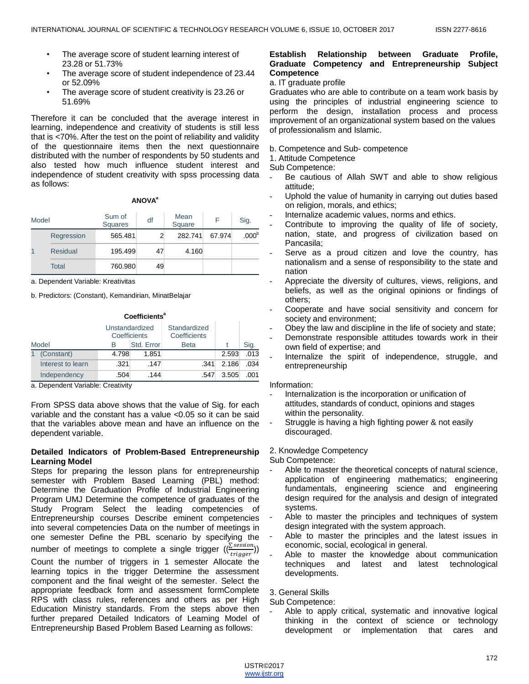- The average score of student learning interest of 23.28 or 51.73%
- The average score of student independence of 23.44 or 52.09%
- The average score of student creativity is 23.26 or 51.69%

Therefore it can be concluded that the average interest in learning, independence and creativity of students is still less that is <70%. After the test on the point of reliability and validity of the questionnaire items then the next questionnaire distributed with the number of respondents by 50 students and also tested how much influence student interest and independence of student creativity with spss processing data as follows:

#### **ANOVA<sup>a</sup>**

| Model |              | Sum of<br><b>Squares</b> | df | Mean<br>Square |        | Sig.              |
|-------|--------------|--------------------------|----|----------------|--------|-------------------|
|       | Regression   | 565.481                  |    | 282.741        | 67.974 | .000 <sup>b</sup> |
|       | Residual     | 195.499                  | 47 | 4.160          |        |                   |
|       | <b>Total</b> | 760.980                  | 49 |                |        |                   |

a. Dependent Variable: Kreativitas

b. Predictors: (Constant), Kemandirian, MinatBelajar

|       | Coefficients <sup>a</sup> |                                |            |                              |       |      |
|-------|---------------------------|--------------------------------|------------|------------------------------|-------|------|
|       |                           | Unstandardized<br>Coefficients |            | Standardized<br>Coefficients |       |      |
| Model |                           | в                              | Std. Error | <b>Beta</b>                  |       | Sig. |
|       | (Constant)                | 4.798                          | 1.851      |                              | 2.593 | .013 |
|       | Interest to learn         | .321                           | .147       | .341                         | 2.186 | .034 |
|       | Independency              | .504                           | .144       | .547                         | 3.505 | .001 |

a. Dependent Variable: Creativity

From SPSS data above shows that the value of Sig. for each variable and the constant has a value <0.05 so it can be said that the variables above mean and have an influence on the dependent variable.

### **Detailed Indicators of Problem-Based Entrepreneurship Learning Model**

Steps for preparing the lesson plans for entrepreneurship semester with Problem Based Learning (PBL) method: Determine the Graduation Profile of Industrial Engineering Program UMJ Determine the competence of graduates of the Study Program Select the leading competencies of Entrepreneurship courses Describe eminent competencies into several competencies Data on the number of meetings in one semester Define the PBL scenario by specifying the number of meetings to complete a single trigger ( $\frac{\sqrt{\sum_{i=1}^{n} x_i}}{\sqrt{n}}$ <u>:</u>session))<br>trigger Count the number of triggers in 1 semester Allocate the learning topics in the trigger Determine the assessment component and the final weight of the semester. Select the appropriate feedback form and assessment formComplete RPS with class rules, references and others as per High Education Ministry standards. From the steps above then further prepared Detailed Indicators of Learning Model of Entrepreneurship Based Problem Based Learning as follows:

### **Establish Relationship between Graduate Profile, Graduate Competency and Entrepreneurship Subject Competence**

a. IT graduate profile

Graduates who are able to contribute on a team work basis by using the principles of industrial engineering science to perform the design, installation process and process improvement of an organizational system based on the values of professionalism and Islamic.

- b. Competence and Sub- competence
- 1. Attitude Competence
- Sub Competence:
- Be cautious of Allah SWT and able to show religious attitude;
- Uphold the value of humanity in carrying out duties based on religion, morals, and ethics;
- Internalize academic values, norms and ethics.
- Contribute to improving the quality of life of society, nation, state, and progress of civilization based on Pancasila;
- Serve as a proud citizen and love the country, has nationalism and a sense of responsibility to the state and nation
- Appreciate the diversity of cultures, views, religions, and beliefs, as well as the original opinions or findings of others;
- Cooperate and have social sensitivity and concern for society and environment;
- Obey the law and discipline in the life of society and state;
- Demonstrate responsible attitudes towards work in their own field of expertise; and
- Internalize the spirit of independence, struggle, and entrepreneurship

#### Information:

- Internalization is the incorporation or unification of attitudes, standards of conduct, opinions and stages within the personality.
- Struggle is having a high fighting power & not easily discouraged.

# 2. Knowledge Competency

Sub Competence:

- Able to master the theoretical concepts of natural science, application of engineering mathematics; engineering fundamentals, engineering science and engineering design required for the analysis and design of integrated systems.
- Able to master the principles and techniques of system design integrated with the system approach.
- Able to master the principles and the latest issues in economic, social, ecological in general.
- Able to master the knowledge about communication techniques and latest and latest technological developments.

# 3. General Skills

Sub Competence:

Able to apply critical, systematic and innovative logical thinking in the context of science or technology development or implementation that cares and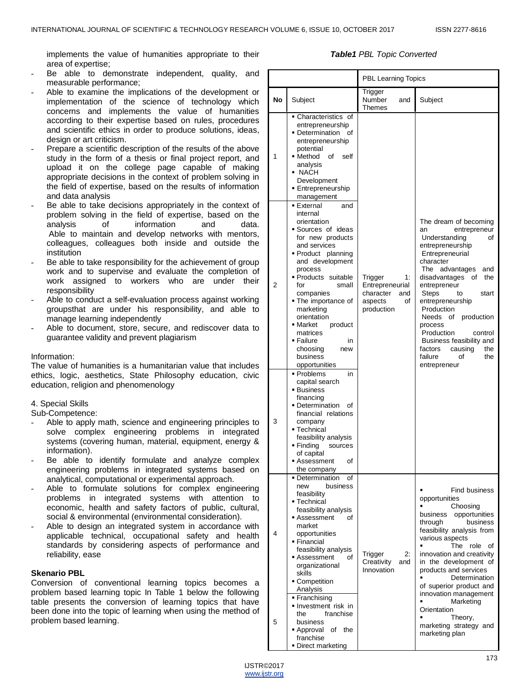implements the value of humanities appropriate to their area of expertise;

- Be able to demonstrate independent, quality, and measurable performance;
- Able to examine the implications of the development or implementation of the science of technology which concerns and implements the value of humanities according to their expertise based on rules, procedures and scientific ethics in order to produce solutions, ideas, design or art criticism.
- Prepare a scientific description of the results of the above study in the form of a thesis or final project report, and upload it on the college page capable of making appropriate decisions in the context of problem solving in the field of expertise, based on the results of information and data analysis
- Be able to take decisions appropriately in the context of problem solving in the field of expertise, based on the analysis of information and data. analysis of information and data. Able to maintain and develop networks with mentors, colleagues, colleagues both inside and outside the institution
- Be able to take responsibility for the achievement of group work and to supervise and evaluate the completion of work assigned to workers who are under their responsibility
- Able to conduct a self-evaluation process against working groupsthat are under his responsibility, and able to manage learning independently
- Able to document, store, secure, and rediscover data to guarantee validity and prevent plagiarism

#### Information:

The value of humanities is a humanitarian value that includes ethics, logic, aesthetics, State Philosophy education, civic education, religion and phenomenology

# 4. Special Skills

Sub-Competence:

- Able to apply math, science and engineering principles to solve complex engineering problems in integrated systems (covering human, material, equipment, energy & information).
- Be able to identify formulate and analyze complex engineering problems in integrated systems based on analytical, computational or experimental approach.
- Able to formulate solutions for complex engineering problems in integrated systems with attention to economic, health and safety factors of public, cultural, social & environmental (environmental consideration).
- Able to design an integrated system in accordance with applicable technical, occupational safety and health standards by considering aspects of performance and reliability, ease

#### **Skenario PBL**

Conversion of conventional learning topics becomes a problem based learning topic In Table 1 below the following table presents the conversion of learning topics that have been done into the topic of learning when using the method of problem based learning.

#### *Table1 PBL Topic Converted*

|           |                                                                                                                                                                                                                                                                                                                                                                                                                                                                                                                                                                                                  | PBL Learning Topics                                                                 |                                                                                                                                                                                                                                                                                                                                                                                                                           |
|-----------|--------------------------------------------------------------------------------------------------------------------------------------------------------------------------------------------------------------------------------------------------------------------------------------------------------------------------------------------------------------------------------------------------------------------------------------------------------------------------------------------------------------------------------------------------------------------------------------------------|-------------------------------------------------------------------------------------|---------------------------------------------------------------------------------------------------------------------------------------------------------------------------------------------------------------------------------------------------------------------------------------------------------------------------------------------------------------------------------------------------------------------------|
| <b>No</b> | Subject                                                                                                                                                                                                                                                                                                                                                                                                                                                                                                                                                                                          | Trigger<br>Number<br>and<br>Themes                                                  | Subject                                                                                                                                                                                                                                                                                                                                                                                                                   |
| 1         | Characteristics of<br>entrepreneurship<br>• Determination<br>οf<br>entrepreneurship<br>potential<br>■ Method<br>οf<br>self<br>analysis<br>• NACH<br>Development<br>■ Entrepreneurship<br>management                                                                                                                                                                                                                                                                                                                                                                                              |                                                                                     |                                                                                                                                                                                                                                                                                                                                                                                                                           |
| 2<br>3    | ■ External<br>and<br>internal<br>orientation<br>Sources of ideas<br>for new products<br>and services<br>Product planning<br>and development<br>process<br>Products suitable<br>for<br>small<br>companies<br>• The importance of<br>marketing<br>orientation<br>• Market<br>product<br>matrices<br>• Failure<br>in<br>choosing<br>new<br>business<br>opportunities<br>■ Problems<br>in<br>capital search<br>■ Business<br>financing<br>• Determination<br>Οf<br>financial relations<br>company<br>■ Technical<br>feasibility analysis<br>■ Finding<br>sources<br>of capital<br>οf<br>■ Assessment | Trigger<br>1:<br>Entrepreneurial<br>character<br>and<br>of<br>aspects<br>production | The dream of becoming<br>entrepreneur<br>an<br>Understanding<br>οf<br>entrepreneurship<br>Entrepreneurial<br>character<br>The advantages<br>and<br>the<br>disadvantages<br>of<br>entrepreneur<br>Steps<br>start<br>to<br>entrepreneurship<br>Production<br>Needs<br>production<br>οf<br>process<br>Production<br>control<br>Business feasibility and<br>the<br>factors<br>causing<br>failure<br>of<br>the<br>entrepreneur |
| 4         | the company<br>• Determination<br>οf<br>business<br>new<br>feasibility<br>■ Technical<br>feasibility analysis<br>Assessment<br>οf<br>market<br>opportunities<br>• Financial<br>feasibility analysis<br>Assessment<br>οf<br>organizational<br>skills<br>• Competition<br>Analysis                                                                                                                                                                                                                                                                                                                 | 2:<br>Trigger<br>Creativity<br>and<br>Innovation                                    | <b>Find business</b><br>opportunities<br>Choosing<br>opportunities<br>business<br>business<br>through<br>feasibility analysis from<br>various aspects<br>The<br>role<br>οf<br>innovation and creativity<br>in the development of<br>products and services<br>Determination<br>of superior product and<br>innovation management                                                                                            |
| 5         | Franchising<br>Investment risk in<br>franchise<br>the<br>business<br>of the<br>■ Approval<br>franchise<br>• Direct marketing                                                                                                                                                                                                                                                                                                                                                                                                                                                                     |                                                                                     | Marketing<br>Orientation<br>Theory,<br>marketing strategy and<br>marketing plan                                                                                                                                                                                                                                                                                                                                           |

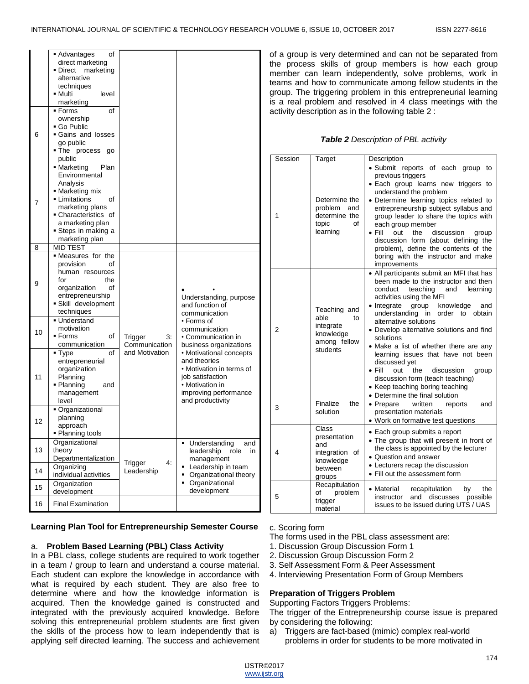|    | οf<br>■ Advantages<br>direct marketing<br>■ Direct<br>marketing<br>alternative<br>techniques<br>level<br>■ Multi<br>marketing                                                                  |                                |                                                                                                                                                         |
|----|------------------------------------------------------------------------------------------------------------------------------------------------------------------------------------------------|--------------------------------|---------------------------------------------------------------------------------------------------------------------------------------------------------|
| 6  | ▪ Forms<br>of<br>ownership<br>■ Go Public<br>Gains and losses<br>go public<br>The process<br>go<br>public                                                                                      |                                |                                                                                                                                                         |
| 7  | • Marketing<br>Plan<br>Environmental<br>Analysis<br>■ Marketing mix<br>Limitations<br>οf<br>marketing plans<br>Characteristics of<br>a marketing plan<br>• Steps in making a<br>marketing plan |                                |                                                                                                                                                         |
| 8  | <b>MID TEST</b>                                                                                                                                                                                |                                |                                                                                                                                                         |
| 9  | • Measures for the<br>provision<br>οf<br>human resources<br>the<br>for<br>organization<br>οf<br>entrepreneurship<br>Skill development<br>techniques                                            |                                | Understanding, purpose<br>and function of<br>communication                                                                                              |
| 10 | ■ Understand<br>motivation<br>▪ Forms<br>of<br>communication                                                                                                                                   | Trigger<br>3.<br>Communication | • Forms of<br>communication<br>• Communication in<br>business organizations                                                                             |
| 11 | οf<br>■ Type<br>entrepreneurial<br>organization<br>Planning<br>■ Planning<br>and<br>management<br>level                                                                                        | and Motivation                 | • Motivational concepts<br>and theories<br>• Motivation in terms of<br>job satisfaction<br>• Motivation in<br>improving performance<br>and productivity |
| 12 | Organizational<br>planning<br>approach<br>■ Planning tools                                                                                                                                     |                                |                                                                                                                                                         |
| 13 | Organizational<br>theory<br>Departmentalization                                                                                                                                                | 4:                             | Understanding<br>and<br>$\blacksquare$<br>role<br>leadership<br>in<br>management                                                                        |
| 14 | Organizing<br>individual activities                                                                                                                                                            | Trigger<br>Leadership          | Leadership in team<br>٠<br>Organizational theory<br>٠<br>• Organizational                                                                               |
| 15 | Organization<br>development                                                                                                                                                                    |                                | development                                                                                                                                             |
| 16 | <b>Final Examination</b>                                                                                                                                                                       |                                |                                                                                                                                                         |

of a group is very determined and can not be separated from the process skills of group members is how each group member can learn independently, solve problems, work in teams and how to communicate among fellow students in the group. The triggering problem in this entrepreneurial learning is a real problem and resolved in 4 class meetings with the activity description as in the following table 2 :

# *Table 2 Description of PBL activity*

| Session | Target                                                                           | Description                                                                                                                                                                                                                                                                                                                                                                                                                                                                                                                                         |
|---------|----------------------------------------------------------------------------------|-----------------------------------------------------------------------------------------------------------------------------------------------------------------------------------------------------------------------------------------------------------------------------------------------------------------------------------------------------------------------------------------------------------------------------------------------------------------------------------------------------------------------------------------------------|
| 1       | Determine the<br>problem<br>and<br>determine the<br>topic<br>οf<br>learning      | · Submit reports of each group to<br>previous triggers<br>• Each group learns new triggers to<br>understand the problem<br>· Determine learning topics related to<br>entrepreneurship subject syllabus and<br>group leader to share the topics with<br>each group member<br>$\bullet$ Fill<br>out<br>the<br>discussion<br>group<br>discussion form (about defining the<br>problem), define the contents of the<br>boring with the instructor and make<br>improvements                                                                               |
| 2       | Teaching and<br>able<br>to<br>integrate<br>knowledge<br>among fellow<br>students | • All participants submit an MFI that has<br>been made to the instructor and then<br>teaching<br>conduct<br>and<br>learning<br>activities using the MFI<br>knowledge<br>• Integrate group<br>and<br>understanding in<br>order to<br>obtain<br>alternative solutions<br>• Develop alternative solutions and find<br>solutions<br>• Make a list of whether there are any<br>learning issues that have not been<br>discussed yet<br>• Fill<br>out<br>the<br>discussion<br>group<br>discussion form (teach teaching)<br>• Keep teaching boring teaching |
| 3       | Finalize<br>the<br>solution                                                      | • Determine the final solution<br>• Prepare<br>written<br>reports<br>and<br>presentation materials<br>• Work on formative test questions                                                                                                                                                                                                                                                                                                                                                                                                            |
| 4       | Class<br>presentation<br>and<br>integration of<br>knowledge<br>between<br>groups | • Each group submits a report<br>• The group that will present in front of<br>the class is appointed by the lecturer<br>• Question and answer<br>• Lecturers recap the discussion<br>• Fill out the assessment form                                                                                                                                                                                                                                                                                                                                 |
| 5       | Recapitulation<br>problem<br>of<br>trigger<br>material                           | • Material<br>the<br>recapitulation<br>by<br>and discusses<br>possible<br>instructor<br>issues to be issued during UTS / UAS                                                                                                                                                                                                                                                                                                                                                                                                                        |

### **Learning Plan Tool for Entrepreneurship Semester Course**

#### a. **Problem Based Learning (PBL) Class Activity**

In a PBL class, college students are required to work together in a team / group to learn and understand a course material. Each student can explore the knowledge in accordance with what is required by each student. They are also free to determine where and how the knowledge information is acquired. Then the knowledge gained is constructed and integrated with the previously acquired knowledge. Before solving this entrepreneurial problem students are first given the skills of the process how to learn independently that is applying self directed learning. The success and achievement

#### c. Scoring form

The forms used in the PBL class assessment are:

- 1. Discussion Group Discussion Form 1
- 2. Discussion Group Discussion Form 2
- 3. Self Assessment Form & Peer Assessment
- 4. Interviewing Presentation Form of Group Members

# **Preparation of Triggers Problem**

Supporting Factors Triggers Problems:

The trigger of the Entrepreneurship course issue is prepared by considering the following:

a) Triggers are fact-based (mimic) complex real-world problems in order for students to be more motivated in